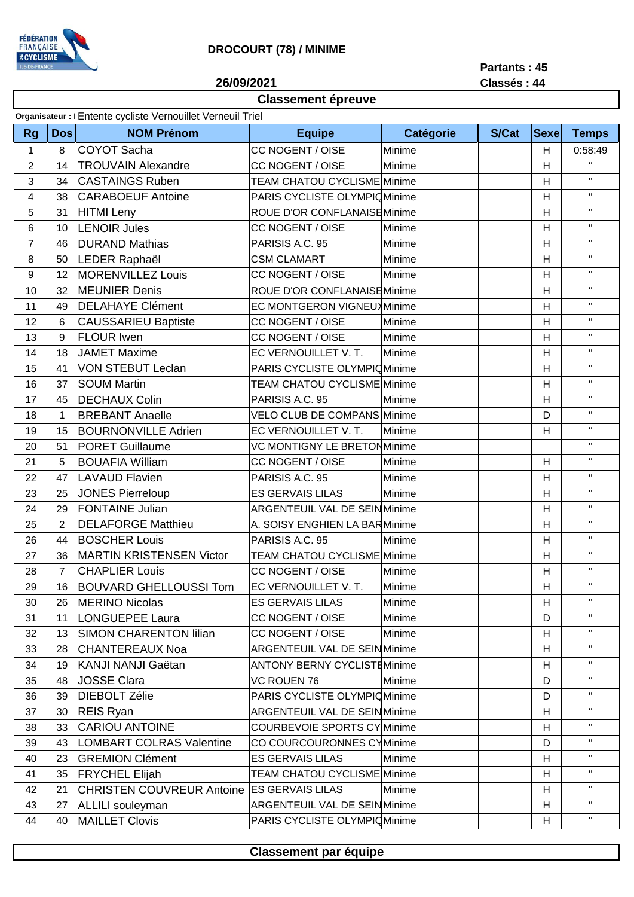

## **DROCOURT (78) / MINIME**

**Partants : 45**

**Classés : 44**

**26/09/2021**

## **Classement épreuve**

| Dos<br><b>NOM Prénom</b><br><b>Catégorie</b><br><b>S/Cat</b><br><b>Sexe</b><br><b>Rg</b><br><b>Equipe</b><br><b>Temps</b><br>COYOT Sacha<br>CC NOGENT / OISE<br>$\mathbf{1}$<br>Minime<br>0:58:49<br>8<br>H<br>$\mathbf{H}$<br>CC NOGENT / OISE<br>$\overline{2}$<br><b>TROUVAIN Alexandre</b><br>Minime<br>14<br>Н<br>$\mathbf{H}$<br>3<br>34<br><b>CASTAINGS Ruben</b><br><b>TEAM CHATOU CYCLISME Minime</b><br>H<br>$\mathbf{H}$<br>4<br><b>CARABOEUF Antoine</b><br>PARIS CYCLISTE OLYMPIC Minime<br>н<br>38<br>$\mathbf{H}$<br>ROUE D'OR CONFLANAISE Minime<br>5<br>HITMI Leny<br>H<br>31<br>$\mathbf{H}$<br><b>LENOIR Jules</b><br>6<br>CC NOGENT / OISE<br>H<br>10<br>Minime<br>$\mathbf{H}$<br>$\overline{7}$<br><b>DURAND Mathias</b><br>PARISIS A.C. 95<br>Minime<br>46<br>H<br>$\mathbf{H}$<br>LEDER Raphaël<br>8<br><b>CSM CLAMART</b><br>H<br>50<br>Minime<br>MORENVILLEZ Louis<br>$\mathbf{H}$<br>CC NOGENT / OISE<br>9<br>12<br>Minime<br>н<br>$\mathbf{H}$<br><b>MEUNIER Denis</b><br>ROUE D'OR CONFLANAISEMinime<br>10<br>32<br>H<br>$\mathbf{H}$<br><b>DELAHAYE Clément</b><br>11<br>EC MONTGERON VIGNEUX Minime<br>H<br>49<br>$\mathbf{H}$<br><b>CAUSSARIEU Baptiste</b><br>12<br>6<br><b>CC NOGENT / OISE</b><br>H<br>Minime<br>$\mathbf{H}$<br><b>FLOUR Iwen</b><br><b>CC NOGENT / OISE</b><br>13<br>9<br>Minime<br>н<br>$\mathbf{H}$<br><b>JAMET Maxime</b><br>EC VERNOUILLET V. T.<br>18<br>H<br>14<br>Minime<br>$\mathbf{H}$<br><b>VON STEBUT Leclan</b><br>15<br>PARIS CYCLISTE OLYMPIC Minime<br>H<br>41<br>$\mathbf{H}$<br><b>SOUM Martin</b><br>16<br>37<br><b>TEAM CHATOU CYCLISME Minime</b><br>H<br>$\mathbf{H}$<br><b>DECHAUX Colin</b><br>PARISIS A.C. 95<br>17<br>45<br>Minime<br>н<br>$\mathbf{H}$<br><b>BREBANT Anaelle</b><br><b>VELO CLUB DE COMPANS Minime</b><br>18<br>$\mathbf{1}$<br>D<br>$\mathbf{H}$<br>19<br><b>BOURNONVILLE Adrien</b><br>EC VERNOUILLET V. T.<br>H<br>15<br>Minime<br>$\mathbf{H}$<br><b>PORET Guillaume</b><br><b>VC MONTIGNY LE BRETONMinime</b><br>20<br>51<br>$\mathbf{H}$<br>21<br>5<br><b>BOUAFIA William</b><br>CC NOGENT / OISE<br>н<br>Minime<br>$\mathbf{H}$<br>22<br>47<br><b>LAVAUD Flavien</b><br>PARISIS A.C. 95<br>Minime<br>н<br>$\mathbf{H}$<br><b>JONES Pierreloup</b><br><b>ES GERVAIS LILAS</b><br>23<br>25<br>H<br>Minime<br>$\mathbf{H}$<br><b>FONTAINE Julian</b><br>24<br>29<br>ARGENTEUIL VAL DE SEIN Minime<br>H<br>$\mathbf{H}$<br><b>DELAFORGE Matthieu</b><br>$\overline{2}$<br>25<br>A. SOISY ENGHIEN LA BARMinime<br>H<br>$\mathbf{H}$<br><b>BOSCHER Louis</b><br>44<br>PARISIS A.C. 95<br>н<br>26<br>Minime<br>$\mathbf{H}$<br><b>MARTIN KRISTENSEN Victor</b><br>27<br><b>TEAM CHATOU CYCLISME Minime</b><br>H<br>36<br>$\mathbf{H}$<br><b>CHAPLIER Louis</b><br>$\overline{7}$<br>CC NOGENT / OISE<br>H<br>28<br>Minime<br>$\mathbf{H}$<br><b>BOUVARD GHELLOUSSI Tom</b><br>29<br>Н<br>16<br>EC VERNOUILLET V. T.<br>Minime<br>$\mathbf{H}$<br><b>MERINO Nicolas</b><br><b>ES GERVAIS LILAS</b><br>н<br>30<br>Minime<br>26<br>п.<br>31<br>LONGUEPEE Laura<br>CC NOGENT / OISE<br>Minime<br>D<br>11<br>$\mathbf{H}$<br>SIMON CHARENTON lilian<br>CC NOGENT / OISE<br>Minime<br>H<br>32<br>13<br>$\mathbf{H}$<br>33<br>CHANTEREAUX Noa<br><b>ARGENTEUIL VAL DE SEIN Minime</b><br>н<br>28<br>$\mathbf{H}$<br>KANJI NANJI Gaëtan<br><b>ANTONY BERNY CYCLISTEMinime</b><br>H<br>34<br>19<br>$\mathbf{H}$<br>D<br>35<br><b>JOSSE Clara</b><br><b>VC ROUEN 76</b><br>Minime<br>48<br>$\mathbf{H}$<br>DIEBOLT Zélie<br>PARIS CYCLISTE OLYMPIC Minime<br>D<br>36<br>39<br>$\mathbf{H}$<br>37<br>ARGENTEUIL VAL DE SEIN Minime<br>H<br>30<br>REIS Ryan<br>$\mathbf{H}$<br><b>CARIOU ANTOINE</b><br>38<br>33<br><b>COURBEVOIE SPORTS CY Minime</b><br>H<br>п.<br><b>LOMBART COLRAS Valentine</b><br>CO COURCOURONNES CYMinime<br>D<br>39<br>43<br>$\mathbf{H}$<br><b>GREMION Clément</b><br><b>ES GERVAIS LILAS</b><br>23<br>Minime<br>40<br>н<br>$\mathbf{H}$<br><b>FRYCHEL Elijah</b><br><b>TEAM CHATOU CYCLISME Minime</b><br>H<br>35<br>41<br>$\mathbf{H}$<br>CHRISTEN COUVREUR Antoine ES GERVAIS LILAS<br>н<br>42<br>21<br>Minime<br>$\mathbf{H}$<br>43<br>ALLILI souleyman<br>ARGENTEUIL VAL DE SEIN Minime<br>H<br>27<br>$\mathbf{H}$<br>40<br>PARIS CYCLISTE OLYMPIC Minime | Organisateur : I Entente cycliste Vernouillet Verneuil Triel |  |                |  |  |  |   |  |  |  |
|-----------------------------------------------------------------------------------------------------------------------------------------------------------------------------------------------------------------------------------------------------------------------------------------------------------------------------------------------------------------------------------------------------------------------------------------------------------------------------------------------------------------------------------------------------------------------------------------------------------------------------------------------------------------------------------------------------------------------------------------------------------------------------------------------------------------------------------------------------------------------------------------------------------------------------------------------------------------------------------------------------------------------------------------------------------------------------------------------------------------------------------------------------------------------------------------------------------------------------------------------------------------------------------------------------------------------------------------------------------------------------------------------------------------------------------------------------------------------------------------------------------------------------------------------------------------------------------------------------------------------------------------------------------------------------------------------------------------------------------------------------------------------------------------------------------------------------------------------------------------------------------------------------------------------------------------------------------------------------------------------------------------------------------------------------------------------------------------------------------------------------------------------------------------------------------------------------------------------------------------------------------------------------------------------------------------------------------------------------------------------------------------------------------------------------------------------------------------------------------------------------------------------------------------------------------------------------------------------------------------------------------------------------------------------------------------------------------------------------------------------------------------------------------------------------------------------------------------------------------------------------------------------------------------------------------------------------------------------------------------------------------------------------------------------------------------------------------------------------------------------------------------------------------------------------------------------------------------------------------------------------------------------------------------------------------------------------------------------------------------------------------------------------------------------------------------------------------------------------------------------------------------------------------------------------------------------------------------------------------------------------------------------------------------------------------------------------------------------------------------------------------------------------------------------------------------------------------------------------------------------------------------------------------------------------------------------------------------------------------------------------------------------------------------------------------------------------------------------------------------------------------------------------------------------------------------------------------------------------------------------------------------------------|--------------------------------------------------------------|--|----------------|--|--|--|---|--|--|--|
|                                                                                                                                                                                                                                                                                                                                                                                                                                                                                                                                                                                                                                                                                                                                                                                                                                                                                                                                                                                                                                                                                                                                                                                                                                                                                                                                                                                                                                                                                                                                                                                                                                                                                                                                                                                                                                                                                                                                                                                                                                                                                                                                                                                                                                                                                                                                                                                                                                                                                                                                                                                                                                                                                                                                                                                                                                                                                                                                                                                                                                                                                                                                                                                                                                                                                                                                                                                                                                                                                                                                                                                                                                                                                                                                                                                                                                                                                                                                                                                                                                                                                                                                                                                                                                                                             |                                                              |  |                |  |  |  |   |  |  |  |
|                                                                                                                                                                                                                                                                                                                                                                                                                                                                                                                                                                                                                                                                                                                                                                                                                                                                                                                                                                                                                                                                                                                                                                                                                                                                                                                                                                                                                                                                                                                                                                                                                                                                                                                                                                                                                                                                                                                                                                                                                                                                                                                                                                                                                                                                                                                                                                                                                                                                                                                                                                                                                                                                                                                                                                                                                                                                                                                                                                                                                                                                                                                                                                                                                                                                                                                                                                                                                                                                                                                                                                                                                                                                                                                                                                                                                                                                                                                                                                                                                                                                                                                                                                                                                                                                             |                                                              |  |                |  |  |  |   |  |  |  |
|                                                                                                                                                                                                                                                                                                                                                                                                                                                                                                                                                                                                                                                                                                                                                                                                                                                                                                                                                                                                                                                                                                                                                                                                                                                                                                                                                                                                                                                                                                                                                                                                                                                                                                                                                                                                                                                                                                                                                                                                                                                                                                                                                                                                                                                                                                                                                                                                                                                                                                                                                                                                                                                                                                                                                                                                                                                                                                                                                                                                                                                                                                                                                                                                                                                                                                                                                                                                                                                                                                                                                                                                                                                                                                                                                                                                                                                                                                                                                                                                                                                                                                                                                                                                                                                                             |                                                              |  |                |  |  |  |   |  |  |  |
|                                                                                                                                                                                                                                                                                                                                                                                                                                                                                                                                                                                                                                                                                                                                                                                                                                                                                                                                                                                                                                                                                                                                                                                                                                                                                                                                                                                                                                                                                                                                                                                                                                                                                                                                                                                                                                                                                                                                                                                                                                                                                                                                                                                                                                                                                                                                                                                                                                                                                                                                                                                                                                                                                                                                                                                                                                                                                                                                                                                                                                                                                                                                                                                                                                                                                                                                                                                                                                                                                                                                                                                                                                                                                                                                                                                                                                                                                                                                                                                                                                                                                                                                                                                                                                                                             |                                                              |  |                |  |  |  |   |  |  |  |
|                                                                                                                                                                                                                                                                                                                                                                                                                                                                                                                                                                                                                                                                                                                                                                                                                                                                                                                                                                                                                                                                                                                                                                                                                                                                                                                                                                                                                                                                                                                                                                                                                                                                                                                                                                                                                                                                                                                                                                                                                                                                                                                                                                                                                                                                                                                                                                                                                                                                                                                                                                                                                                                                                                                                                                                                                                                                                                                                                                                                                                                                                                                                                                                                                                                                                                                                                                                                                                                                                                                                                                                                                                                                                                                                                                                                                                                                                                                                                                                                                                                                                                                                                                                                                                                                             |                                                              |  |                |  |  |  |   |  |  |  |
|                                                                                                                                                                                                                                                                                                                                                                                                                                                                                                                                                                                                                                                                                                                                                                                                                                                                                                                                                                                                                                                                                                                                                                                                                                                                                                                                                                                                                                                                                                                                                                                                                                                                                                                                                                                                                                                                                                                                                                                                                                                                                                                                                                                                                                                                                                                                                                                                                                                                                                                                                                                                                                                                                                                                                                                                                                                                                                                                                                                                                                                                                                                                                                                                                                                                                                                                                                                                                                                                                                                                                                                                                                                                                                                                                                                                                                                                                                                                                                                                                                                                                                                                                                                                                                                                             |                                                              |  |                |  |  |  |   |  |  |  |
|                                                                                                                                                                                                                                                                                                                                                                                                                                                                                                                                                                                                                                                                                                                                                                                                                                                                                                                                                                                                                                                                                                                                                                                                                                                                                                                                                                                                                                                                                                                                                                                                                                                                                                                                                                                                                                                                                                                                                                                                                                                                                                                                                                                                                                                                                                                                                                                                                                                                                                                                                                                                                                                                                                                                                                                                                                                                                                                                                                                                                                                                                                                                                                                                                                                                                                                                                                                                                                                                                                                                                                                                                                                                                                                                                                                                                                                                                                                                                                                                                                                                                                                                                                                                                                                                             |                                                              |  |                |  |  |  |   |  |  |  |
|                                                                                                                                                                                                                                                                                                                                                                                                                                                                                                                                                                                                                                                                                                                                                                                                                                                                                                                                                                                                                                                                                                                                                                                                                                                                                                                                                                                                                                                                                                                                                                                                                                                                                                                                                                                                                                                                                                                                                                                                                                                                                                                                                                                                                                                                                                                                                                                                                                                                                                                                                                                                                                                                                                                                                                                                                                                                                                                                                                                                                                                                                                                                                                                                                                                                                                                                                                                                                                                                                                                                                                                                                                                                                                                                                                                                                                                                                                                                                                                                                                                                                                                                                                                                                                                                             |                                                              |  |                |  |  |  |   |  |  |  |
|                                                                                                                                                                                                                                                                                                                                                                                                                                                                                                                                                                                                                                                                                                                                                                                                                                                                                                                                                                                                                                                                                                                                                                                                                                                                                                                                                                                                                                                                                                                                                                                                                                                                                                                                                                                                                                                                                                                                                                                                                                                                                                                                                                                                                                                                                                                                                                                                                                                                                                                                                                                                                                                                                                                                                                                                                                                                                                                                                                                                                                                                                                                                                                                                                                                                                                                                                                                                                                                                                                                                                                                                                                                                                                                                                                                                                                                                                                                                                                                                                                                                                                                                                                                                                                                                             |                                                              |  |                |  |  |  |   |  |  |  |
|                                                                                                                                                                                                                                                                                                                                                                                                                                                                                                                                                                                                                                                                                                                                                                                                                                                                                                                                                                                                                                                                                                                                                                                                                                                                                                                                                                                                                                                                                                                                                                                                                                                                                                                                                                                                                                                                                                                                                                                                                                                                                                                                                                                                                                                                                                                                                                                                                                                                                                                                                                                                                                                                                                                                                                                                                                                                                                                                                                                                                                                                                                                                                                                                                                                                                                                                                                                                                                                                                                                                                                                                                                                                                                                                                                                                                                                                                                                                                                                                                                                                                                                                                                                                                                                                             |                                                              |  |                |  |  |  |   |  |  |  |
|                                                                                                                                                                                                                                                                                                                                                                                                                                                                                                                                                                                                                                                                                                                                                                                                                                                                                                                                                                                                                                                                                                                                                                                                                                                                                                                                                                                                                                                                                                                                                                                                                                                                                                                                                                                                                                                                                                                                                                                                                                                                                                                                                                                                                                                                                                                                                                                                                                                                                                                                                                                                                                                                                                                                                                                                                                                                                                                                                                                                                                                                                                                                                                                                                                                                                                                                                                                                                                                                                                                                                                                                                                                                                                                                                                                                                                                                                                                                                                                                                                                                                                                                                                                                                                                                             |                                                              |  |                |  |  |  |   |  |  |  |
|                                                                                                                                                                                                                                                                                                                                                                                                                                                                                                                                                                                                                                                                                                                                                                                                                                                                                                                                                                                                                                                                                                                                                                                                                                                                                                                                                                                                                                                                                                                                                                                                                                                                                                                                                                                                                                                                                                                                                                                                                                                                                                                                                                                                                                                                                                                                                                                                                                                                                                                                                                                                                                                                                                                                                                                                                                                                                                                                                                                                                                                                                                                                                                                                                                                                                                                                                                                                                                                                                                                                                                                                                                                                                                                                                                                                                                                                                                                                                                                                                                                                                                                                                                                                                                                                             |                                                              |  |                |  |  |  |   |  |  |  |
|                                                                                                                                                                                                                                                                                                                                                                                                                                                                                                                                                                                                                                                                                                                                                                                                                                                                                                                                                                                                                                                                                                                                                                                                                                                                                                                                                                                                                                                                                                                                                                                                                                                                                                                                                                                                                                                                                                                                                                                                                                                                                                                                                                                                                                                                                                                                                                                                                                                                                                                                                                                                                                                                                                                                                                                                                                                                                                                                                                                                                                                                                                                                                                                                                                                                                                                                                                                                                                                                                                                                                                                                                                                                                                                                                                                                                                                                                                                                                                                                                                                                                                                                                                                                                                                                             |                                                              |  |                |  |  |  |   |  |  |  |
|                                                                                                                                                                                                                                                                                                                                                                                                                                                                                                                                                                                                                                                                                                                                                                                                                                                                                                                                                                                                                                                                                                                                                                                                                                                                                                                                                                                                                                                                                                                                                                                                                                                                                                                                                                                                                                                                                                                                                                                                                                                                                                                                                                                                                                                                                                                                                                                                                                                                                                                                                                                                                                                                                                                                                                                                                                                                                                                                                                                                                                                                                                                                                                                                                                                                                                                                                                                                                                                                                                                                                                                                                                                                                                                                                                                                                                                                                                                                                                                                                                                                                                                                                                                                                                                                             |                                                              |  |                |  |  |  |   |  |  |  |
|                                                                                                                                                                                                                                                                                                                                                                                                                                                                                                                                                                                                                                                                                                                                                                                                                                                                                                                                                                                                                                                                                                                                                                                                                                                                                                                                                                                                                                                                                                                                                                                                                                                                                                                                                                                                                                                                                                                                                                                                                                                                                                                                                                                                                                                                                                                                                                                                                                                                                                                                                                                                                                                                                                                                                                                                                                                                                                                                                                                                                                                                                                                                                                                                                                                                                                                                                                                                                                                                                                                                                                                                                                                                                                                                                                                                                                                                                                                                                                                                                                                                                                                                                                                                                                                                             |                                                              |  |                |  |  |  |   |  |  |  |
|                                                                                                                                                                                                                                                                                                                                                                                                                                                                                                                                                                                                                                                                                                                                                                                                                                                                                                                                                                                                                                                                                                                                                                                                                                                                                                                                                                                                                                                                                                                                                                                                                                                                                                                                                                                                                                                                                                                                                                                                                                                                                                                                                                                                                                                                                                                                                                                                                                                                                                                                                                                                                                                                                                                                                                                                                                                                                                                                                                                                                                                                                                                                                                                                                                                                                                                                                                                                                                                                                                                                                                                                                                                                                                                                                                                                                                                                                                                                                                                                                                                                                                                                                                                                                                                                             |                                                              |  |                |  |  |  |   |  |  |  |
|                                                                                                                                                                                                                                                                                                                                                                                                                                                                                                                                                                                                                                                                                                                                                                                                                                                                                                                                                                                                                                                                                                                                                                                                                                                                                                                                                                                                                                                                                                                                                                                                                                                                                                                                                                                                                                                                                                                                                                                                                                                                                                                                                                                                                                                                                                                                                                                                                                                                                                                                                                                                                                                                                                                                                                                                                                                                                                                                                                                                                                                                                                                                                                                                                                                                                                                                                                                                                                                                                                                                                                                                                                                                                                                                                                                                                                                                                                                                                                                                                                                                                                                                                                                                                                                                             |                                                              |  |                |  |  |  |   |  |  |  |
|                                                                                                                                                                                                                                                                                                                                                                                                                                                                                                                                                                                                                                                                                                                                                                                                                                                                                                                                                                                                                                                                                                                                                                                                                                                                                                                                                                                                                                                                                                                                                                                                                                                                                                                                                                                                                                                                                                                                                                                                                                                                                                                                                                                                                                                                                                                                                                                                                                                                                                                                                                                                                                                                                                                                                                                                                                                                                                                                                                                                                                                                                                                                                                                                                                                                                                                                                                                                                                                                                                                                                                                                                                                                                                                                                                                                                                                                                                                                                                                                                                                                                                                                                                                                                                                                             |                                                              |  |                |  |  |  |   |  |  |  |
|                                                                                                                                                                                                                                                                                                                                                                                                                                                                                                                                                                                                                                                                                                                                                                                                                                                                                                                                                                                                                                                                                                                                                                                                                                                                                                                                                                                                                                                                                                                                                                                                                                                                                                                                                                                                                                                                                                                                                                                                                                                                                                                                                                                                                                                                                                                                                                                                                                                                                                                                                                                                                                                                                                                                                                                                                                                                                                                                                                                                                                                                                                                                                                                                                                                                                                                                                                                                                                                                                                                                                                                                                                                                                                                                                                                                                                                                                                                                                                                                                                                                                                                                                                                                                                                                             |                                                              |  |                |  |  |  |   |  |  |  |
|                                                                                                                                                                                                                                                                                                                                                                                                                                                                                                                                                                                                                                                                                                                                                                                                                                                                                                                                                                                                                                                                                                                                                                                                                                                                                                                                                                                                                                                                                                                                                                                                                                                                                                                                                                                                                                                                                                                                                                                                                                                                                                                                                                                                                                                                                                                                                                                                                                                                                                                                                                                                                                                                                                                                                                                                                                                                                                                                                                                                                                                                                                                                                                                                                                                                                                                                                                                                                                                                                                                                                                                                                                                                                                                                                                                                                                                                                                                                                                                                                                                                                                                                                                                                                                                                             |                                                              |  |                |  |  |  |   |  |  |  |
|                                                                                                                                                                                                                                                                                                                                                                                                                                                                                                                                                                                                                                                                                                                                                                                                                                                                                                                                                                                                                                                                                                                                                                                                                                                                                                                                                                                                                                                                                                                                                                                                                                                                                                                                                                                                                                                                                                                                                                                                                                                                                                                                                                                                                                                                                                                                                                                                                                                                                                                                                                                                                                                                                                                                                                                                                                                                                                                                                                                                                                                                                                                                                                                                                                                                                                                                                                                                                                                                                                                                                                                                                                                                                                                                                                                                                                                                                                                                                                                                                                                                                                                                                                                                                                                                             |                                                              |  |                |  |  |  |   |  |  |  |
|                                                                                                                                                                                                                                                                                                                                                                                                                                                                                                                                                                                                                                                                                                                                                                                                                                                                                                                                                                                                                                                                                                                                                                                                                                                                                                                                                                                                                                                                                                                                                                                                                                                                                                                                                                                                                                                                                                                                                                                                                                                                                                                                                                                                                                                                                                                                                                                                                                                                                                                                                                                                                                                                                                                                                                                                                                                                                                                                                                                                                                                                                                                                                                                                                                                                                                                                                                                                                                                                                                                                                                                                                                                                                                                                                                                                                                                                                                                                                                                                                                                                                                                                                                                                                                                                             |                                                              |  |                |  |  |  |   |  |  |  |
|                                                                                                                                                                                                                                                                                                                                                                                                                                                                                                                                                                                                                                                                                                                                                                                                                                                                                                                                                                                                                                                                                                                                                                                                                                                                                                                                                                                                                                                                                                                                                                                                                                                                                                                                                                                                                                                                                                                                                                                                                                                                                                                                                                                                                                                                                                                                                                                                                                                                                                                                                                                                                                                                                                                                                                                                                                                                                                                                                                                                                                                                                                                                                                                                                                                                                                                                                                                                                                                                                                                                                                                                                                                                                                                                                                                                                                                                                                                                                                                                                                                                                                                                                                                                                                                                             |                                                              |  |                |  |  |  |   |  |  |  |
|                                                                                                                                                                                                                                                                                                                                                                                                                                                                                                                                                                                                                                                                                                                                                                                                                                                                                                                                                                                                                                                                                                                                                                                                                                                                                                                                                                                                                                                                                                                                                                                                                                                                                                                                                                                                                                                                                                                                                                                                                                                                                                                                                                                                                                                                                                                                                                                                                                                                                                                                                                                                                                                                                                                                                                                                                                                                                                                                                                                                                                                                                                                                                                                                                                                                                                                                                                                                                                                                                                                                                                                                                                                                                                                                                                                                                                                                                                                                                                                                                                                                                                                                                                                                                                                                             |                                                              |  |                |  |  |  |   |  |  |  |
|                                                                                                                                                                                                                                                                                                                                                                                                                                                                                                                                                                                                                                                                                                                                                                                                                                                                                                                                                                                                                                                                                                                                                                                                                                                                                                                                                                                                                                                                                                                                                                                                                                                                                                                                                                                                                                                                                                                                                                                                                                                                                                                                                                                                                                                                                                                                                                                                                                                                                                                                                                                                                                                                                                                                                                                                                                                                                                                                                                                                                                                                                                                                                                                                                                                                                                                                                                                                                                                                                                                                                                                                                                                                                                                                                                                                                                                                                                                                                                                                                                                                                                                                                                                                                                                                             |                                                              |  |                |  |  |  |   |  |  |  |
|                                                                                                                                                                                                                                                                                                                                                                                                                                                                                                                                                                                                                                                                                                                                                                                                                                                                                                                                                                                                                                                                                                                                                                                                                                                                                                                                                                                                                                                                                                                                                                                                                                                                                                                                                                                                                                                                                                                                                                                                                                                                                                                                                                                                                                                                                                                                                                                                                                                                                                                                                                                                                                                                                                                                                                                                                                                                                                                                                                                                                                                                                                                                                                                                                                                                                                                                                                                                                                                                                                                                                                                                                                                                                                                                                                                                                                                                                                                                                                                                                                                                                                                                                                                                                                                                             |                                                              |  |                |  |  |  |   |  |  |  |
|                                                                                                                                                                                                                                                                                                                                                                                                                                                                                                                                                                                                                                                                                                                                                                                                                                                                                                                                                                                                                                                                                                                                                                                                                                                                                                                                                                                                                                                                                                                                                                                                                                                                                                                                                                                                                                                                                                                                                                                                                                                                                                                                                                                                                                                                                                                                                                                                                                                                                                                                                                                                                                                                                                                                                                                                                                                                                                                                                                                                                                                                                                                                                                                                                                                                                                                                                                                                                                                                                                                                                                                                                                                                                                                                                                                                                                                                                                                                                                                                                                                                                                                                                                                                                                                                             |                                                              |  |                |  |  |  |   |  |  |  |
|                                                                                                                                                                                                                                                                                                                                                                                                                                                                                                                                                                                                                                                                                                                                                                                                                                                                                                                                                                                                                                                                                                                                                                                                                                                                                                                                                                                                                                                                                                                                                                                                                                                                                                                                                                                                                                                                                                                                                                                                                                                                                                                                                                                                                                                                                                                                                                                                                                                                                                                                                                                                                                                                                                                                                                                                                                                                                                                                                                                                                                                                                                                                                                                                                                                                                                                                                                                                                                                                                                                                                                                                                                                                                                                                                                                                                                                                                                                                                                                                                                                                                                                                                                                                                                                                             |                                                              |  |                |  |  |  |   |  |  |  |
|                                                                                                                                                                                                                                                                                                                                                                                                                                                                                                                                                                                                                                                                                                                                                                                                                                                                                                                                                                                                                                                                                                                                                                                                                                                                                                                                                                                                                                                                                                                                                                                                                                                                                                                                                                                                                                                                                                                                                                                                                                                                                                                                                                                                                                                                                                                                                                                                                                                                                                                                                                                                                                                                                                                                                                                                                                                                                                                                                                                                                                                                                                                                                                                                                                                                                                                                                                                                                                                                                                                                                                                                                                                                                                                                                                                                                                                                                                                                                                                                                                                                                                                                                                                                                                                                             |                                                              |  |                |  |  |  |   |  |  |  |
|                                                                                                                                                                                                                                                                                                                                                                                                                                                                                                                                                                                                                                                                                                                                                                                                                                                                                                                                                                                                                                                                                                                                                                                                                                                                                                                                                                                                                                                                                                                                                                                                                                                                                                                                                                                                                                                                                                                                                                                                                                                                                                                                                                                                                                                                                                                                                                                                                                                                                                                                                                                                                                                                                                                                                                                                                                                                                                                                                                                                                                                                                                                                                                                                                                                                                                                                                                                                                                                                                                                                                                                                                                                                                                                                                                                                                                                                                                                                                                                                                                                                                                                                                                                                                                                                             |                                                              |  |                |  |  |  |   |  |  |  |
|                                                                                                                                                                                                                                                                                                                                                                                                                                                                                                                                                                                                                                                                                                                                                                                                                                                                                                                                                                                                                                                                                                                                                                                                                                                                                                                                                                                                                                                                                                                                                                                                                                                                                                                                                                                                                                                                                                                                                                                                                                                                                                                                                                                                                                                                                                                                                                                                                                                                                                                                                                                                                                                                                                                                                                                                                                                                                                                                                                                                                                                                                                                                                                                                                                                                                                                                                                                                                                                                                                                                                                                                                                                                                                                                                                                                                                                                                                                                                                                                                                                                                                                                                                                                                                                                             |                                                              |  |                |  |  |  |   |  |  |  |
|                                                                                                                                                                                                                                                                                                                                                                                                                                                                                                                                                                                                                                                                                                                                                                                                                                                                                                                                                                                                                                                                                                                                                                                                                                                                                                                                                                                                                                                                                                                                                                                                                                                                                                                                                                                                                                                                                                                                                                                                                                                                                                                                                                                                                                                                                                                                                                                                                                                                                                                                                                                                                                                                                                                                                                                                                                                                                                                                                                                                                                                                                                                                                                                                                                                                                                                                                                                                                                                                                                                                                                                                                                                                                                                                                                                                                                                                                                                                                                                                                                                                                                                                                                                                                                                                             |                                                              |  |                |  |  |  |   |  |  |  |
|                                                                                                                                                                                                                                                                                                                                                                                                                                                                                                                                                                                                                                                                                                                                                                                                                                                                                                                                                                                                                                                                                                                                                                                                                                                                                                                                                                                                                                                                                                                                                                                                                                                                                                                                                                                                                                                                                                                                                                                                                                                                                                                                                                                                                                                                                                                                                                                                                                                                                                                                                                                                                                                                                                                                                                                                                                                                                                                                                                                                                                                                                                                                                                                                                                                                                                                                                                                                                                                                                                                                                                                                                                                                                                                                                                                                                                                                                                                                                                                                                                                                                                                                                                                                                                                                             |                                                              |  |                |  |  |  |   |  |  |  |
|                                                                                                                                                                                                                                                                                                                                                                                                                                                                                                                                                                                                                                                                                                                                                                                                                                                                                                                                                                                                                                                                                                                                                                                                                                                                                                                                                                                                                                                                                                                                                                                                                                                                                                                                                                                                                                                                                                                                                                                                                                                                                                                                                                                                                                                                                                                                                                                                                                                                                                                                                                                                                                                                                                                                                                                                                                                                                                                                                                                                                                                                                                                                                                                                                                                                                                                                                                                                                                                                                                                                                                                                                                                                                                                                                                                                                                                                                                                                                                                                                                                                                                                                                                                                                                                                             |                                                              |  |                |  |  |  |   |  |  |  |
|                                                                                                                                                                                                                                                                                                                                                                                                                                                                                                                                                                                                                                                                                                                                                                                                                                                                                                                                                                                                                                                                                                                                                                                                                                                                                                                                                                                                                                                                                                                                                                                                                                                                                                                                                                                                                                                                                                                                                                                                                                                                                                                                                                                                                                                                                                                                                                                                                                                                                                                                                                                                                                                                                                                                                                                                                                                                                                                                                                                                                                                                                                                                                                                                                                                                                                                                                                                                                                                                                                                                                                                                                                                                                                                                                                                                                                                                                                                                                                                                                                                                                                                                                                                                                                                                             |                                                              |  |                |  |  |  |   |  |  |  |
|                                                                                                                                                                                                                                                                                                                                                                                                                                                                                                                                                                                                                                                                                                                                                                                                                                                                                                                                                                                                                                                                                                                                                                                                                                                                                                                                                                                                                                                                                                                                                                                                                                                                                                                                                                                                                                                                                                                                                                                                                                                                                                                                                                                                                                                                                                                                                                                                                                                                                                                                                                                                                                                                                                                                                                                                                                                                                                                                                                                                                                                                                                                                                                                                                                                                                                                                                                                                                                                                                                                                                                                                                                                                                                                                                                                                                                                                                                                                                                                                                                                                                                                                                                                                                                                                             |                                                              |  |                |  |  |  |   |  |  |  |
|                                                                                                                                                                                                                                                                                                                                                                                                                                                                                                                                                                                                                                                                                                                                                                                                                                                                                                                                                                                                                                                                                                                                                                                                                                                                                                                                                                                                                                                                                                                                                                                                                                                                                                                                                                                                                                                                                                                                                                                                                                                                                                                                                                                                                                                                                                                                                                                                                                                                                                                                                                                                                                                                                                                                                                                                                                                                                                                                                                                                                                                                                                                                                                                                                                                                                                                                                                                                                                                                                                                                                                                                                                                                                                                                                                                                                                                                                                                                                                                                                                                                                                                                                                                                                                                                             |                                                              |  |                |  |  |  |   |  |  |  |
|                                                                                                                                                                                                                                                                                                                                                                                                                                                                                                                                                                                                                                                                                                                                                                                                                                                                                                                                                                                                                                                                                                                                                                                                                                                                                                                                                                                                                                                                                                                                                                                                                                                                                                                                                                                                                                                                                                                                                                                                                                                                                                                                                                                                                                                                                                                                                                                                                                                                                                                                                                                                                                                                                                                                                                                                                                                                                                                                                                                                                                                                                                                                                                                                                                                                                                                                                                                                                                                                                                                                                                                                                                                                                                                                                                                                                                                                                                                                                                                                                                                                                                                                                                                                                                                                             |                                                              |  |                |  |  |  |   |  |  |  |
|                                                                                                                                                                                                                                                                                                                                                                                                                                                                                                                                                                                                                                                                                                                                                                                                                                                                                                                                                                                                                                                                                                                                                                                                                                                                                                                                                                                                                                                                                                                                                                                                                                                                                                                                                                                                                                                                                                                                                                                                                                                                                                                                                                                                                                                                                                                                                                                                                                                                                                                                                                                                                                                                                                                                                                                                                                                                                                                                                                                                                                                                                                                                                                                                                                                                                                                                                                                                                                                                                                                                                                                                                                                                                                                                                                                                                                                                                                                                                                                                                                                                                                                                                                                                                                                                             |                                                              |  |                |  |  |  |   |  |  |  |
|                                                                                                                                                                                                                                                                                                                                                                                                                                                                                                                                                                                                                                                                                                                                                                                                                                                                                                                                                                                                                                                                                                                                                                                                                                                                                                                                                                                                                                                                                                                                                                                                                                                                                                                                                                                                                                                                                                                                                                                                                                                                                                                                                                                                                                                                                                                                                                                                                                                                                                                                                                                                                                                                                                                                                                                                                                                                                                                                                                                                                                                                                                                                                                                                                                                                                                                                                                                                                                                                                                                                                                                                                                                                                                                                                                                                                                                                                                                                                                                                                                                                                                                                                                                                                                                                             |                                                              |  |                |  |  |  |   |  |  |  |
|                                                                                                                                                                                                                                                                                                                                                                                                                                                                                                                                                                                                                                                                                                                                                                                                                                                                                                                                                                                                                                                                                                                                                                                                                                                                                                                                                                                                                                                                                                                                                                                                                                                                                                                                                                                                                                                                                                                                                                                                                                                                                                                                                                                                                                                                                                                                                                                                                                                                                                                                                                                                                                                                                                                                                                                                                                                                                                                                                                                                                                                                                                                                                                                                                                                                                                                                                                                                                                                                                                                                                                                                                                                                                                                                                                                                                                                                                                                                                                                                                                                                                                                                                                                                                                                                             |                                                              |  |                |  |  |  |   |  |  |  |
|                                                                                                                                                                                                                                                                                                                                                                                                                                                                                                                                                                                                                                                                                                                                                                                                                                                                                                                                                                                                                                                                                                                                                                                                                                                                                                                                                                                                                                                                                                                                                                                                                                                                                                                                                                                                                                                                                                                                                                                                                                                                                                                                                                                                                                                                                                                                                                                                                                                                                                                                                                                                                                                                                                                                                                                                                                                                                                                                                                                                                                                                                                                                                                                                                                                                                                                                                                                                                                                                                                                                                                                                                                                                                                                                                                                                                                                                                                                                                                                                                                                                                                                                                                                                                                                                             |                                                              |  |                |  |  |  |   |  |  |  |
|                                                                                                                                                                                                                                                                                                                                                                                                                                                                                                                                                                                                                                                                                                                                                                                                                                                                                                                                                                                                                                                                                                                                                                                                                                                                                                                                                                                                                                                                                                                                                                                                                                                                                                                                                                                                                                                                                                                                                                                                                                                                                                                                                                                                                                                                                                                                                                                                                                                                                                                                                                                                                                                                                                                                                                                                                                                                                                                                                                                                                                                                                                                                                                                                                                                                                                                                                                                                                                                                                                                                                                                                                                                                                                                                                                                                                                                                                                                                                                                                                                                                                                                                                                                                                                                                             |                                                              |  |                |  |  |  |   |  |  |  |
|                                                                                                                                                                                                                                                                                                                                                                                                                                                                                                                                                                                                                                                                                                                                                                                                                                                                                                                                                                                                                                                                                                                                                                                                                                                                                                                                                                                                                                                                                                                                                                                                                                                                                                                                                                                                                                                                                                                                                                                                                                                                                                                                                                                                                                                                                                                                                                                                                                                                                                                                                                                                                                                                                                                                                                                                                                                                                                                                                                                                                                                                                                                                                                                                                                                                                                                                                                                                                                                                                                                                                                                                                                                                                                                                                                                                                                                                                                                                                                                                                                                                                                                                                                                                                                                                             |                                                              |  |                |  |  |  |   |  |  |  |
|                                                                                                                                                                                                                                                                                                                                                                                                                                                                                                                                                                                                                                                                                                                                                                                                                                                                                                                                                                                                                                                                                                                                                                                                                                                                                                                                                                                                                                                                                                                                                                                                                                                                                                                                                                                                                                                                                                                                                                                                                                                                                                                                                                                                                                                                                                                                                                                                                                                                                                                                                                                                                                                                                                                                                                                                                                                                                                                                                                                                                                                                                                                                                                                                                                                                                                                                                                                                                                                                                                                                                                                                                                                                                                                                                                                                                                                                                                                                                                                                                                                                                                                                                                                                                                                                             | 44                                                           |  | MAILLET Clovis |  |  |  | H |  |  |  |

**Classement par équipe**